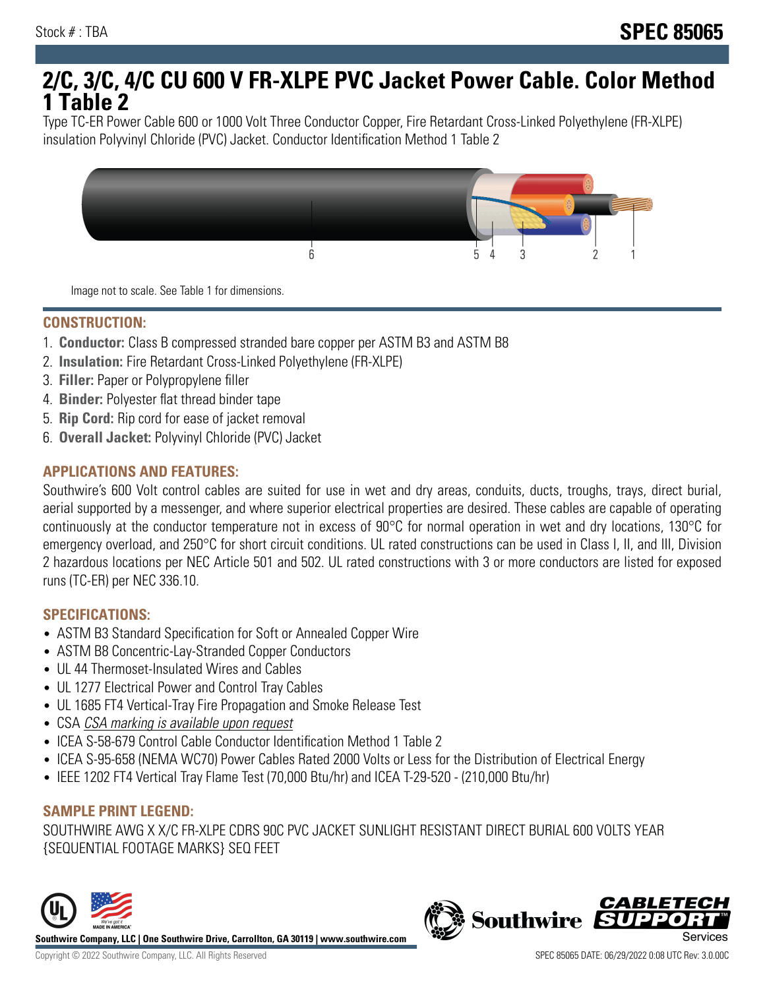# **2/C, 3/C, 4/C CU 600 V FR-XLPE PVC Jacket Power Cable. Color Method 1 Table 2**

Type TC-ER Power Cable 600 or 1000 Volt Three Conductor Copper, Fire Retardant Cross-Linked Polyethylene (FR-XLPE) insulation Polyvinyl Chloride (PVC) Jacket. Conductor Identification Method 1 Table 2



Image not to scale. See Table 1 for dimensions.

#### **CONSTRUCTION:**

- 1. **Conductor:** Class B compressed stranded bare copper per ASTM B3 and ASTM B8
- 2. **Insulation:** Fire Retardant Cross-Linked Polyethylene (FR-XLPE)
- 3. **Filler:** Paper or Polypropylene filler
- 4. **Binder:** Polyester flat thread binder tape
- 5. **Rip Cord:** Rip cord for ease of jacket removal
- 6. **Overall Jacket:** Polyvinyl Chloride (PVC) Jacket

## **APPLICATIONS AND FEATURES:**

Southwire's 600 Volt control cables are suited for use in wet and dry areas, conduits, ducts, troughs, trays, direct burial, aerial supported by a messenger, and where superior electrical properties are desired. These cables are capable of operating continuously at the conductor temperature not in excess of 90°C for normal operation in wet and dry locations, 130°C for emergency overload, and 250°C for short circuit conditions. UL rated constructions can be used in Class I, II, and III, Division 2 hazardous locations per NEC Article 501 and 502. UL rated constructions with 3 or more conductors are listed for exposed runs (TC-ER) per NEC 336.10.

#### **SPECIFICATIONS:**

- ASTM B3 Standard Specification for Soft or Annealed Copper Wire
- ASTM B8 Concentric-Lay-Stranded Copper Conductors
- UL 44 Thermoset-Insulated Wires and Cables
- UL 1277 Electrical Power and Control Tray Cables
- UL 1685 FT4 Vertical-Tray Fire Propagation and Smoke Release Test
- CSA CSA marking is available upon request
- ICEA S-58-679 Control Cable Conductor Identification Method 1 Table 2
- ICEA S-95-658 (NEMA WC70) Power Cables Rated 2000 Volts or Less for the Distribution of Electrical Energy
- IEEE 1202 FT4 Vertical Tray Flame Test (70,000 Btu/hr) and ICEA T-29-520 (210,000 Btu/hr)

#### **SAMPLE PRINT LEGEND:**

SOUTHWIRE AWG X X/C FR-XLPE CDRS 90C PVC JACKET SUNLIGHT RESISTANT DIRECT BURIAL 600 VOLTS YEAR {SEQUENTIAL FOOTAGE MARKS} SEQ FEET